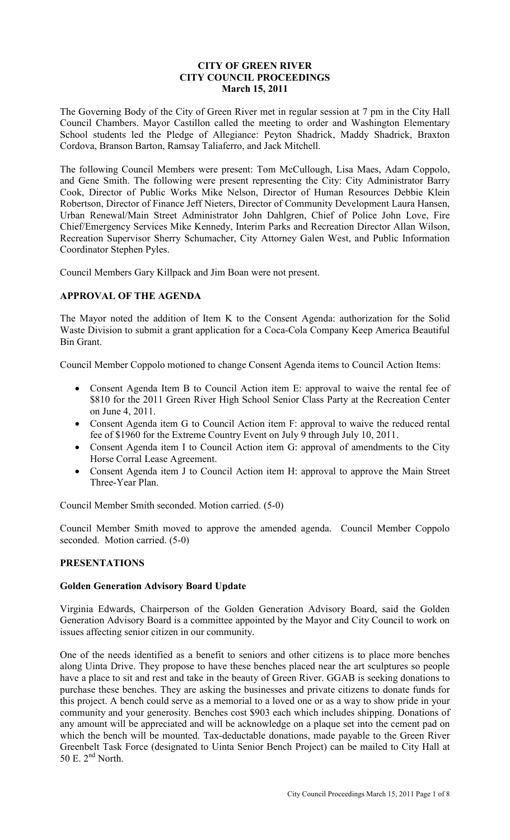# **CITY OF GREEN RIVER CITY COUNCIL PROCEEDINGS March 15, 2011**

The Governing Body of the City of Green River met in regular session at 7 pm in the City Hall Council Chambers. Mayor Castillon called the meeting to order and Washington Elementary School students led the Pledge of Allegiance: Peyton Shadrick, Maddy Shadrick, Braxton Cordova, Branson Barton, Ramsay Taliaferro, and Jack Mitchell.

The following Council Members were present: Tom McCullough, Lisa Maes, Adam Coppolo, and Gene Smith. The following were present representing the City: City Administrator Barry Cook, Director of Public Works Mike Nelson, Director of Human Resources Debbie Klein Robertson, Director of Finance Jeff Nieters, Director of Community Development Laura Hansen, Urban Renewal/Main Street Administrator John Dahlgren, Chief of Police John Love, Fire Chief/Emergency Services Mike Kennedy, Interim Parks and Recreation Director Allan Wilson, Recreation Supervisor Sherry Schumacher, City Attorney Galen West, and Public Information Coordinator Stephen Pyles.

Council Members Gary Killpack and Jim Boan were not present.

# **APPROVAL OF THE AGENDA**

The Mayor noted the addition of Item K to the Consent Agenda: authorization for the Solid Waste Division to submit a grant application for a Coca-Cola Company Keep America Beautiful Bin Grant.

Council Member Coppolo motioned to change Consent Agenda items to Council Action Items:

- Consent Agenda Item B to Council Action item E: approval to waive the rental fee of \$810 for the 2011 Green River High School Senior Class Party at the Recreation Center on June 4, 2011.
- Consent Agenda item G to Council Action item F: approval to waive the reduced rental fee of \$1960 for the Extreme Country Event on July 9 through July 10, 2011.
- Consent Agenda item I to Council Action item G: approval of amendments to the City Horse Corral Lease Agreement.
- Consent Agenda item J to Council Action item H: approval to approve the Main Street Three-Year Plan.

Council Member Smith seconded. Motion carried. (5-0)

Council Member Smith moved to approve the amended agenda. Council Member Coppolo seconded. Motion carried. (5-0)

# **PRESENTATIONS**

# **Golden Generation Advisory Board Update**

Virginia Edwards, Chairperson of the Golden Generation Advisory Board, said the Golden Generation Advisory Board is a committee appointed by the Mayor and City Council to work on issues affecting senior citizen in our community.

One of the needs identified as a benefit to seniors and other citizens is to place more benches along Uinta Drive. They propose to have these benches placed near the art sculptures so people have a place to sit and rest and take in the beauty of Green River. GGAB is seeking donations to purchase these benches. They are asking the businesses and private citizens to donate funds for this project. A bench could serve as a memorial to a loved one or as a way to show pride in your community and your generosity. Benches cost \$903 each which includes shipping. Donations of any amount will be appreciated and will be acknowledge on a plaque set into the cement pad on which the bench will be mounted. Tax-deductable donations, made payable to the Green River Greenbelt Task Force (designated to Uinta Senior Bench Project) can be mailed to City Hall at 50 E.  $2<sup>nd</sup>$  North.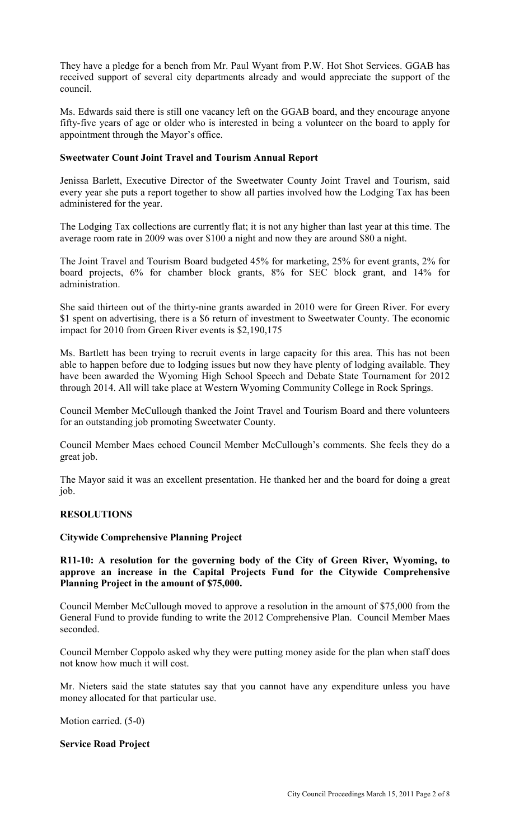They have a pledge for a bench from Mr. Paul Wyant from P.W. Hot Shot Services. GGAB has received support of several city departments already and would appreciate the support of the council.

Ms. Edwards said there is still one vacancy left on the GGAB board, and they encourage anyone fifty-five years of age or older who is interested in being a volunteer on the board to apply for appointment through the Mayor's office.

# **Sweetwater Count Joint Travel and Tourism Annual Report**

Jenissa Barlett, Executive Director of the Sweetwater County Joint Travel and Tourism, said every year she puts a report together to show all parties involved how the Lodging Tax has been administered for the year.

The Lodging Tax collections are currently flat; it is not any higher than last year at this time. The average room rate in 2009 was over \$100 a night and now they are around \$80 a night.

The Joint Travel and Tourism Board budgeted 45% for marketing, 25% for event grants, 2% for board projects, 6% for chamber block grants, 8% for SEC block grant, and 14% for administration.

She said thirteen out of the thirty-nine grants awarded in 2010 were for Green River. For every \$1 spent on advertising, there is a \$6 return of investment to Sweetwater County. The economic impact for 2010 from Green River events is \$2,190,175

Ms. Bartlett has been trying to recruit events in large capacity for this area. This has not been able to happen before due to lodging issues but now they have plenty of lodging available. They have been awarded the Wyoming High School Speech and Debate State Tournament for 2012 through 2014. All will take place at Western Wyoming Community College in Rock Springs.

Council Member McCullough thanked the Joint Travel and Tourism Board and there volunteers for an outstanding job promoting Sweetwater County.

Council Member Maes echoed Council Member McCullough's comments. She feels they do a great job.

The Mayor said it was an excellent presentation. He thanked her and the board for doing a great job.

# **RESOLUTIONS**

# **Citywide Comprehensive Planning Project**

**R11-10: A resolution for the governing body of the City of Green River, Wyoming, to approve an increase in the Capital Projects Fund for the Citywide Comprehensive Planning Project in the amount of \$75,000.** 

Council Member McCullough moved to approve a resolution in the amount of \$75,000 from the General Fund to provide funding to write the 2012 Comprehensive Plan. Council Member Maes seconded.

Council Member Coppolo asked why they were putting money aside for the plan when staff does not know how much it will cost.

Mr. Nieters said the state statutes say that you cannot have any expenditure unless you have money allocated for that particular use.

Motion carried. (5-0)

# **Service Road Project**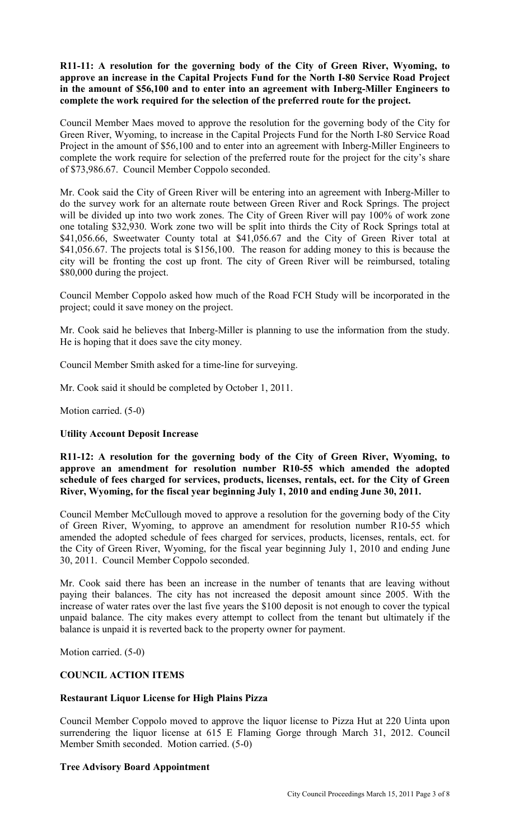**R11-11: A resolution for the governing body of the City of Green River, Wyoming, to approve an increase in the Capital Projects Fund for the North I-80 Service Road Project in the amount of \$56,100 and to enter into an agreement with Inberg-Miller Engineers to complete the work required for the selection of the preferred route for the project.**

Council Member Maes moved to approve the resolution for the governing body of the City for Green River, Wyoming, to increase in the Capital Projects Fund for the North I-80 Service Road Project in the amount of \$56,100 and to enter into an agreement with Inberg-Miller Engineers to complete the work require for selection of the preferred route for the project for the city's share of \$73,986.67. Council Member Coppolo seconded.

Mr. Cook said the City of Green River will be entering into an agreement with Inberg-Miller to do the survey work for an alternate route between Green River and Rock Springs. The project will be divided up into two work zones. The City of Green River will pay 100% of work zone one totaling \$32,930. Work zone two will be split into thirds the City of Rock Springs total at \$41,056.66, Sweetwater County total at \$41,056.67 and the City of Green River total at \$41,056.67. The projects total is \$156,100. The reason for adding money to this is because the city will be fronting the cost up front. The city of Green River will be reimbursed, totaling \$80,000 during the project.

Council Member Coppolo asked how much of the Road FCH Study will be incorporated in the project; could it save money on the project.

Mr. Cook said he believes that Inberg-Miller is planning to use the information from the study. He is hoping that it does save the city money.

Council Member Smith asked for a time-line for surveying.

Mr. Cook said it should be completed by October 1, 2011.

Motion carried. (5-0)

# **Utility Account Deposit Increase**

**R11-12: A resolution for the governing body of the City of Green River, Wyoming, to approve an amendment for resolution number R10-55 which amended the adopted schedule of fees charged for services, products, licenses, rentals, ect. for the City of Green River, Wyoming, for the fiscal year beginning July 1, 2010 and ending June 30, 2011.**

Council Member McCullough moved to approve a resolution for the governing body of the City of Green River, Wyoming, to approve an amendment for resolution number R10-55 which amended the adopted schedule of fees charged for services, products, licenses, rentals, ect. for the City of Green River, Wyoming, for the fiscal year beginning July 1, 2010 and ending June 30, 2011. Council Member Coppolo seconded.

Mr. Cook said there has been an increase in the number of tenants that are leaving without paying their balances. The city has not increased the deposit amount since 2005. With the increase of water rates over the last five years the \$100 deposit is not enough to cover the typical unpaid balance. The city makes every attempt to collect from the tenant but ultimately if the balance is unpaid it is reverted back to the property owner for payment.

Motion carried. (5-0)

# **COUNCIL ACTION ITEMS**

# **Restaurant Liquor License for High Plains Pizza**

Council Member Coppolo moved to approve the liquor license to Pizza Hut at 220 Uinta upon surrendering the liquor license at 615 E Flaming Gorge through March 31, 2012. Council Member Smith seconded. Motion carried. (5-0)

# **Tree Advisory Board Appointment**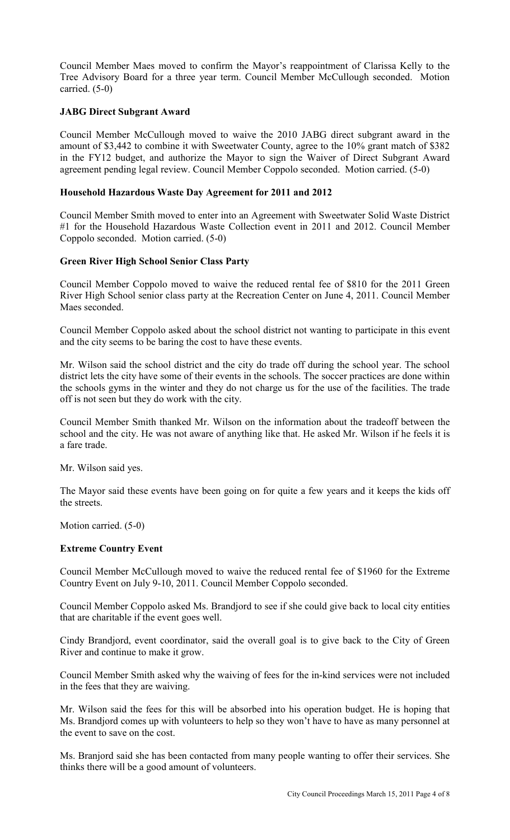Council Member Maes moved to confirm the Mayor's reappointment of Clarissa Kelly to the Tree Advisory Board for a three year term. Council Member McCullough seconded. Motion carried. (5-0)

# **JABG Direct Subgrant Award**

Council Member McCullough moved to waive the 2010 JABG direct subgrant award in the amount of \$3,442 to combine it with Sweetwater County, agree to the 10% grant match of \$382 in the FY12 budget, and authorize the Mayor to sign the Waiver of Direct Subgrant Award agreement pending legal review. Council Member Coppolo seconded. Motion carried. (5-0)

# **Household Hazardous Waste Day Agreement for 2011 and 2012**

Council Member Smith moved to enter into an Agreement with Sweetwater Solid Waste District #1 for the Household Hazardous Waste Collection event in 2011 and 2012. Council Member Coppolo seconded. Motion carried. (5-0)

# **Green River High School Senior Class Party**

Council Member Coppolo moved to waive the reduced rental fee of \$810 for the 2011 Green River High School senior class party at the Recreation Center on June 4, 2011. Council Member Maes seconded.

Council Member Coppolo asked about the school district not wanting to participate in this event and the city seems to be baring the cost to have these events.

Mr. Wilson said the school district and the city do trade off during the school year. The school district lets the city have some of their events in the schools. The soccer practices are done within the schools gyms in the winter and they do not charge us for the use of the facilities. The trade off is not seen but they do work with the city.

Council Member Smith thanked Mr. Wilson on the information about the tradeoff between the school and the city. He was not aware of anything like that. He asked Mr. Wilson if he feels it is a fare trade.

Mr. Wilson said yes.

The Mayor said these events have been going on for quite a few years and it keeps the kids off the streets.

Motion carried. (5-0)

# **Extreme Country Event**

Council Member McCullough moved to waive the reduced rental fee of \$1960 for the Extreme Country Event on July 9-10, 2011. Council Member Coppolo seconded.

Council Member Coppolo asked Ms. Brandjord to see if she could give back to local city entities that are charitable if the event goes well.

Cindy Brandjord, event coordinator, said the overall goal is to give back to the City of Green River and continue to make it grow.

Council Member Smith asked why the waiving of fees for the in-kind services were not included in the fees that they are waiving.

Mr. Wilson said the fees for this will be absorbed into his operation budget. He is hoping that Ms. Brandjord comes up with volunteers to help so they won't have to have as many personnel at the event to save on the cost.

Ms. Branjord said she has been contacted from many people wanting to offer their services. She thinks there will be a good amount of volunteers.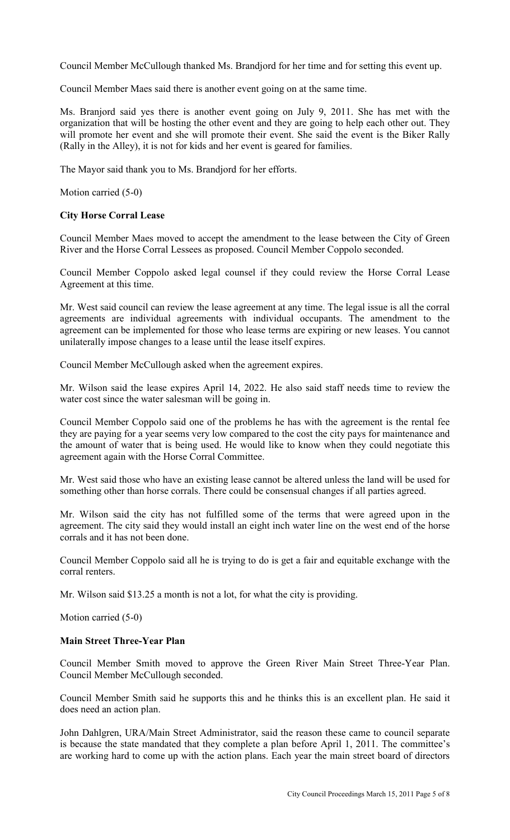Council Member McCullough thanked Ms. Brandjord for her time and for setting this event up.

Council Member Maes said there is another event going on at the same time.

Ms. Branjord said yes there is another event going on July 9, 2011. She has met with the organization that will be hosting the other event and they are going to help each other out. They will promote her event and she will promote their event. She said the event is the Biker Rally (Rally in the Alley), it is not for kids and her event is geared for families.

The Mayor said thank you to Ms. Brandjord for her efforts.

Motion carried (5-0)

# **City Horse Corral Lease**

Council Member Maes moved to accept the amendment to the lease between the City of Green River and the Horse Corral Lessees as proposed. Council Member Coppolo seconded.

Council Member Coppolo asked legal counsel if they could review the Horse Corral Lease Agreement at this time.

Mr. West said council can review the lease agreement at any time. The legal issue is all the corral agreements are individual agreements with individual occupants. The amendment to the agreement can be implemented for those who lease terms are expiring or new leases. You cannot unilaterally impose changes to a lease until the lease itself expires.

Council Member McCullough asked when the agreement expires.

Mr. Wilson said the lease expires April 14, 2022. He also said staff needs time to review the water cost since the water salesman will be going in.

Council Member Coppolo said one of the problems he has with the agreement is the rental fee they are paying for a year seems very low compared to the cost the city pays for maintenance and the amount of water that is being used. He would like to know when they could negotiate this agreement again with the Horse Corral Committee.

Mr. West said those who have an existing lease cannot be altered unless the land will be used for something other than horse corrals. There could be consensual changes if all parties agreed.

Mr. Wilson said the city has not fulfilled some of the terms that were agreed upon in the agreement. The city said they would install an eight inch water line on the west end of the horse corrals and it has not been done.

Council Member Coppolo said all he is trying to do is get a fair and equitable exchange with the corral renters.

Mr. Wilson said \$13.25 a month is not a lot, for what the city is providing.

Motion carried (5-0)

# **Main Street Three-Year Plan**

Council Member Smith moved to approve the Green River Main Street Three-Year Plan. Council Member McCullough seconded.

Council Member Smith said he supports this and he thinks this is an excellent plan. He said it does need an action plan.

John Dahlgren, URA/Main Street Administrator, said the reason these came to council separate is because the state mandated that they complete a plan before April 1, 2011. The committee's are working hard to come up with the action plans. Each year the main street board of directors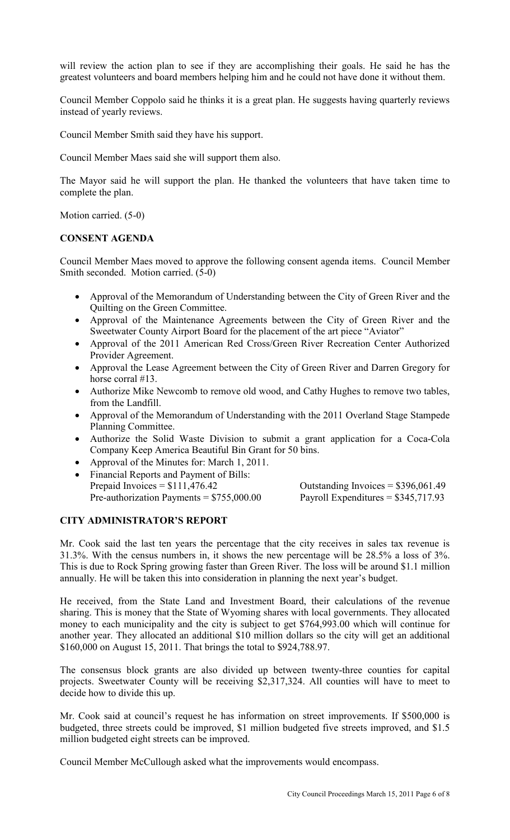will review the action plan to see if they are accomplishing their goals. He said he has the greatest volunteers and board members helping him and he could not have done it without them.

Council Member Coppolo said he thinks it is a great plan. He suggests having quarterly reviews instead of yearly reviews.

Council Member Smith said they have his support.

Council Member Maes said she will support them also.

The Mayor said he will support the plan. He thanked the volunteers that have taken time to complete the plan.

Motion carried. (5-0)

# **CONSENT AGENDA**

Council Member Maes moved to approve the following consent agenda items. Council Member Smith seconded. Motion carried. (5-0)

- Approval of the Memorandum of Understanding between the City of Green River and the Quilting on the Green Committee.
- Approval of the Maintenance Agreements between the City of Green River and the Sweetwater County Airport Board for the placement of the art piece "Aviator"
- Approval of the 2011 American Red Cross/Green River Recreation Center Authorized Provider Agreement.
- Approval the Lease Agreement between the City of Green River and Darren Gregory for horse corral #13.
- Authorize Mike Newcomb to remove old wood, and Cathy Hughes to remove two tables, from the Landfill.
- Approval of the Memorandum of Understanding with the 2011 Overland Stage Stampede Planning Committee.
- Authorize the Solid Waste Division to submit a grant application for a Coca-Cola Company Keep America Beautiful Bin Grant for 50 bins.
- Approval of the Minutes for: March 1, 2011.
- Financial Reports and Payment of Bills: Prepaid Invoices  $= $111,476.42$ Pre-authorization Payments =  $$755,000.00$

| Outstanding Invoices = $$396,061.49$ |
|--------------------------------------|
| Payroll Expenditures = $$345,717.93$ |

# **CITY ADMINISTRATOR'S REPORT**

Mr. Cook said the last ten years the percentage that the city receives in sales tax revenue is 31.3%. With the census numbers in, it shows the new percentage will be 28.5% a loss of 3%. This is due to Rock Spring growing faster than Green River. The loss will be around \$1.1 million annually. He will be taken this into consideration in planning the next year's budget.

He received, from the State Land and Investment Board, their calculations of the revenue sharing. This is money that the State of Wyoming shares with local governments. They allocated money to each municipality and the city is subject to get \$764,993.00 which will continue for another year. They allocated an additional \$10 million dollars so the city will get an additional \$160,000 on August 15, 2011. That brings the total to \$924,788.97.

The consensus block grants are also divided up between twenty-three counties for capital projects. Sweetwater County will be receiving \$2,317,324. All counties will have to meet to decide how to divide this up.

Mr. Cook said at council's request he has information on street improvements. If \$500,000 is budgeted, three streets could be improved, \$1 million budgeted five streets improved, and \$1.5 million budgeted eight streets can be improved.

Council Member McCullough asked what the improvements would encompass.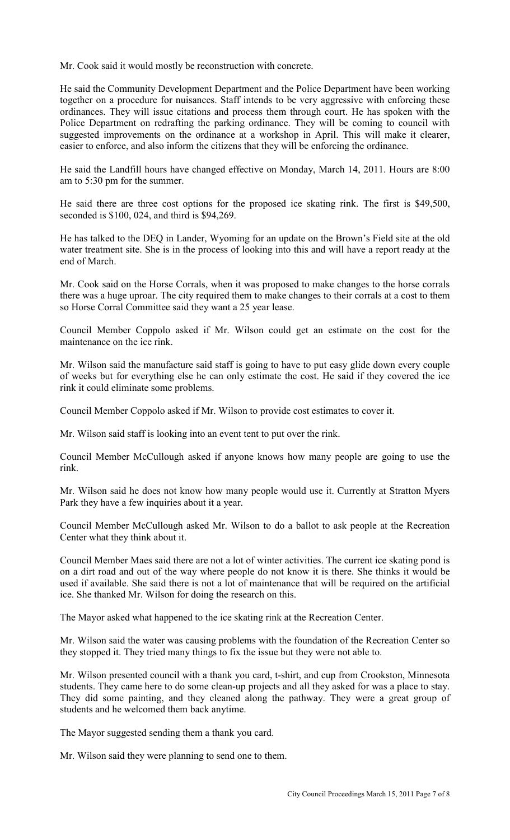Mr. Cook said it would mostly be reconstruction with concrete.

He said the Community Development Department and the Police Department have been working together on a procedure for nuisances. Staff intends to be very aggressive with enforcing these ordinances. They will issue citations and process them through court. He has spoken with the Police Department on redrafting the parking ordinance. They will be coming to council with suggested improvements on the ordinance at a workshop in April. This will make it clearer, easier to enforce, and also inform the citizens that they will be enforcing the ordinance.

He said the Landfill hours have changed effective on Monday, March 14, 2011. Hours are 8:00 am to 5:30 pm for the summer.

He said there are three cost options for the proposed ice skating rink. The first is \$49,500, seconded is \$100, 024, and third is \$94,269.

He has talked to the DEQ in Lander, Wyoming for an update on the Brown's Field site at the old water treatment site. She is in the process of looking into this and will have a report ready at the end of March.

Mr. Cook said on the Horse Corrals, when it was proposed to make changes to the horse corrals there was a huge uproar. The city required them to make changes to their corrals at a cost to them so Horse Corral Committee said they want a 25 year lease.

Council Member Coppolo asked if Mr. Wilson could get an estimate on the cost for the maintenance on the ice rink.

Mr. Wilson said the manufacture said staff is going to have to put easy glide down every couple of weeks but for everything else he can only estimate the cost. He said if they covered the ice rink it could eliminate some problems.

Council Member Coppolo asked if Mr. Wilson to provide cost estimates to cover it.

Mr. Wilson said staff is looking into an event tent to put over the rink.

Council Member McCullough asked if anyone knows how many people are going to use the rink.

Mr. Wilson said he does not know how many people would use it. Currently at Stratton Myers Park they have a few inquiries about it a year.

Council Member McCullough asked Mr. Wilson to do a ballot to ask people at the Recreation Center what they think about it.

Council Member Maes said there are not a lot of winter activities. The current ice skating pond is on a dirt road and out of the way where people do not know it is there. She thinks it would be used if available. She said there is not a lot of maintenance that will be required on the artificial ice. She thanked Mr. Wilson for doing the research on this.

The Mayor asked what happened to the ice skating rink at the Recreation Center.

Mr. Wilson said the water was causing problems with the foundation of the Recreation Center so they stopped it. They tried many things to fix the issue but they were not able to.

Mr. Wilson presented council with a thank you card, t-shirt, and cup from Crookston, Minnesota students. They came here to do some clean-up projects and all they asked for was a place to stay. They did some painting, and they cleaned along the pathway. They were a great group of students and he welcomed them back anytime.

The Mayor suggested sending them a thank you card.

Mr. Wilson said they were planning to send one to them.